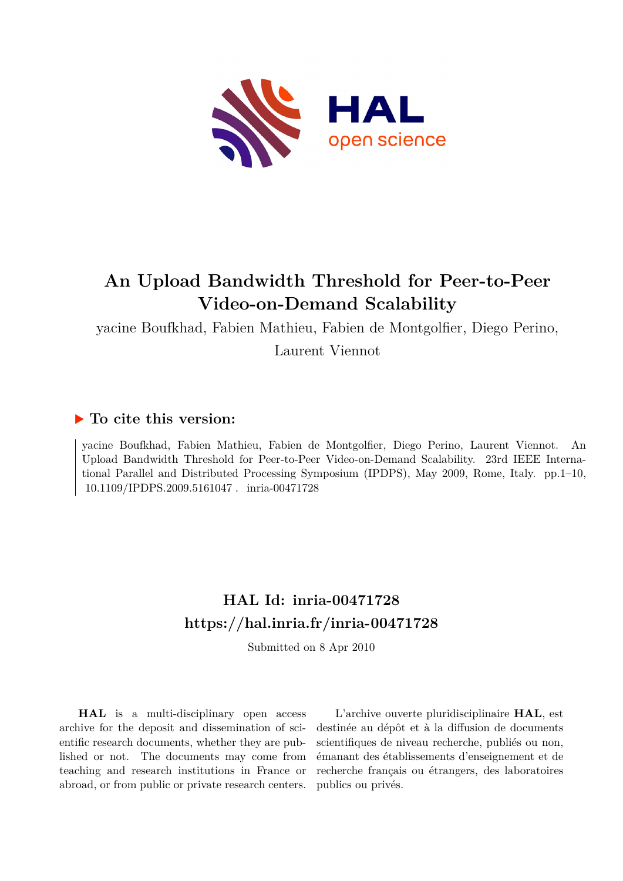

# **An Upload Bandwidth Threshold for Peer-to-Peer Video-on-Demand Scalability**

yacine Boufkhad, Fabien Mathieu, Fabien de Montgolfier, Diego Perino, Laurent Viennot

## **To cite this version:**

yacine Boufkhad, Fabien Mathieu, Fabien de Montgolfier, Diego Perino, Laurent Viennot. An Upload Bandwidth Threshold for Peer-to-Peer Video-on-Demand Scalability. 23rd IEEE International Parallel and Distributed Processing Symposium (IPDPS), May 2009, Rome, Italy. pp.1–10, 10.1109/IPDPS.2009.5161047. inria-00471728

## **HAL Id: inria-00471728 <https://hal.inria.fr/inria-00471728>**

Submitted on 8 Apr 2010

**HAL** is a multi-disciplinary open access archive for the deposit and dissemination of scientific research documents, whether they are published or not. The documents may come from teaching and research institutions in France or abroad, or from public or private research centers.

L'archive ouverte pluridisciplinaire **HAL**, est destinée au dépôt et à la diffusion de documents scientifiques de niveau recherche, publiés ou non, émanant des établissements d'enseignement et de recherche français ou étrangers, des laboratoires publics ou privés.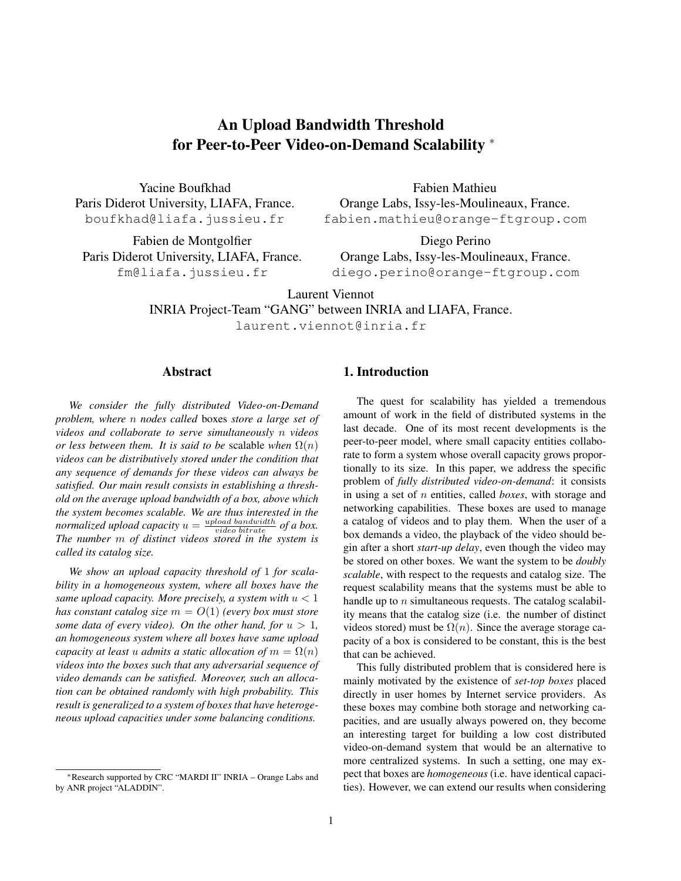### An Upload Bandwidth Threshold for Peer-to-Peer Video-on-Demand Scalability <sup>∗</sup>

Yacine Boufkhad Paris Diderot University, LIAFA, France. boufkhad@liafa.jussieu.fr

Fabien de Montgolfier Paris Diderot University, LIAFA, France. fm@liafa.jussieu.fr

Fabien Mathieu Orange Labs, Issy-les-Moulineaux, France. fabien.mathieu@orange-ftgroup.com

Diego Perino Orange Labs, Issy-les-Moulineaux, France. diego.perino@orange-ftgroup.com

Laurent Viennot

INRIA Project-Team "GANG" between INRIA and LIAFA, France. laurent.viennot@inria.fr

#### Abstract

*We consider the fully distributed Video-on-Demand problem, where* n *nodes called* boxes *store a large set of videos and collaborate to serve simultaneously* n *videos or less between them. It is said to be* scalable *when*  $\Omega(n)$ *videos can be distributively stored under the condition that any sequence of demands for these videos can always be satisfied. Our main result consists in establishing a threshold on the average upload bandwidth of a box, above which the system becomes scalable. We are thus interested in the normalized upload capacity*  $u = \frac{upload \; bandwidth}{video \; birth}$  *of a box. The number* m *of distinct videos stored in the system is called its catalog size.*

*We show an upload capacity threshold of* 1 *for scalability in a homogeneous system, where all boxes have the same upload capacity. More precisely, a system with*  $u < 1$ *has constant catalog size*  $m = O(1)$  *(every box must store some data of every video). On the other hand, for*  $u > 1$ , *an homogeneous system where all boxes have same upload capacity at least* u *admits a static allocation of*  $m = \Omega(n)$ *videos into the boxes such that any adversarial sequence of video demands can be satisfied. Moreover, such an allocation can be obtained randomly with high probability. This result is generalized to a system of boxes that have heterogeneous upload capacities under some balancing conditions.*

#### 1. Introduction

The quest for scalability has yielded a tremendous amount of work in the field of distributed systems in the last decade. One of its most recent developments is the peer-to-peer model, where small capacity entities collaborate to form a system whose overall capacity grows proportionally to its size. In this paper, we address the specific problem of *fully distributed video-on-demand*: it consists in using a set of n entities, called *boxes*, with storage and networking capabilities. These boxes are used to manage a catalog of videos and to play them. When the user of a box demands a video, the playback of the video should begin after a short *start-up delay*, even though the video may be stored on other boxes. We want the system to be *doubly scalable*, with respect to the requests and catalog size. The request scalability means that the systems must be able to handle up to  $n$  simultaneous requests. The catalog scalability means that the catalog size (i.e. the number of distinct videos stored) must be  $\Omega(n)$ . Since the average storage capacity of a box is considered to be constant, this is the best that can be achieved.

This fully distributed problem that is considered here is mainly motivated by the existence of *set-top boxes* placed directly in user homes by Internet service providers. As these boxes may combine both storage and networking capacities, and are usually always powered on, they become an interesting target for building a low cost distributed video-on-demand system that would be an alternative to more centralized systems. In such a setting, one may expect that boxes are *homogeneous* (i.e. have identical capacities). However, we can extend our results when considering

<sup>∗</sup>Research supported by CRC "MARDI II" INRIA – Orange Labs and by ANR project "ALADDIN".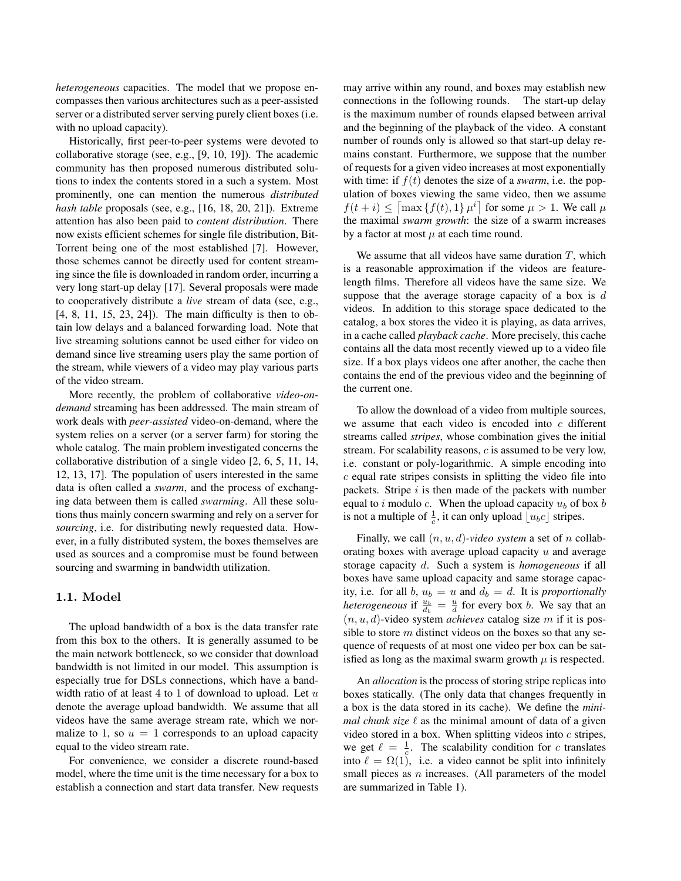*heterogeneous* capacities. The model that we propose encompasses then various architectures such as a peer-assisted server or a distributed server serving purely client boxes (i.e. with no upload capacity).

Historically, first peer-to-peer systems were devoted to collaborative storage (see, e.g., [9, 10, 19]). The academic community has then proposed numerous distributed solutions to index the contents stored in a such a system. Most prominently, one can mention the numerous *distributed hash table* proposals (see, e.g., [16, 18, 20, 21]). Extreme attention has also been paid to *content distribution*. There now exists efficient schemes for single file distribution, Bit-Torrent being one of the most established [7]. However, those schemes cannot be directly used for content streaming since the file is downloaded in random order, incurring a very long start-up delay [17]. Several proposals were made to cooperatively distribute a *live* stream of data (see, e.g., [4, 8, 11, 15, 23, 24]). The main difficulty is then to obtain low delays and a balanced forwarding load. Note that live streaming solutions cannot be used either for video on demand since live streaming users play the same portion of the stream, while viewers of a video may play various parts of the video stream.

More recently, the problem of collaborative *video-ondemand* streaming has been addressed. The main stream of work deals with *peer-assisted* video-on-demand, where the system relies on a server (or a server farm) for storing the whole catalog. The main problem investigated concerns the collaborative distribution of a single video [2, 6, 5, 11, 14, 12, 13, 17]. The population of users interested in the same data is often called a *swarm*, and the process of exchanging data between them is called *swarming*. All these solutions thus mainly concern swarming and rely on a server for *sourcing*, i.e. for distributing newly requested data. However, in a fully distributed system, the boxes themselves are used as sources and a compromise must be found between sourcing and swarming in bandwidth utilization.

#### 1.1. Model

The upload bandwidth of a box is the data transfer rate from this box to the others. It is generally assumed to be the main network bottleneck, so we consider that download bandwidth is not limited in our model. This assumption is especially true for DSLs connections, which have a bandwidth ratio of at least 4 to 1 of download to upload. Let  $u$ denote the average upload bandwidth. We assume that all videos have the same average stream rate, which we normalize to 1, so  $u = 1$  corresponds to an upload capacity equal to the video stream rate.

For convenience, we consider a discrete round-based model, where the time unit is the time necessary for a box to establish a connection and start data transfer. New requests

may arrive within any round, and boxes may establish new connections in the following rounds. The start-up delay is the maximum number of rounds elapsed between arrival and the beginning of the playback of the video. A constant number of rounds only is allowed so that start-up delay remains constant. Furthermore, we suppose that the number of requests for a given video increases at most exponentially with time: if  $f(t)$  denotes the size of a *swarm*, i.e. the population of boxes viewing the same video, then we assume  $f(t + i) \leq \left[\max\left\{f(t), 1\right\} \mu^i\right]$  for some  $\mu > 1$ . We call  $\mu$ the maximal *swarm growth*: the size of a swarm increases by a factor at most  $\mu$  at each time round.

We assume that all videos have same duration  $T$ , which is a reasonable approximation if the videos are featurelength films. Therefore all videos have the same size. We suppose that the average storage capacity of a box is  $d$ videos. In addition to this storage space dedicated to the catalog, a box stores the video it is playing, as data arrives, in a cache called *playback cache*. More precisely, this cache contains all the data most recently viewed up to a video file size. If a box plays videos one after another, the cache then contains the end of the previous video and the beginning of the current one.

To allow the download of a video from multiple sources, we assume that each video is encoded into  $c$  different streams called *stripes*, whose combination gives the initial stream. For scalability reasons, c is assumed to be very low, i.e. constant or poly-logarithmic. A simple encoding into  $c$  equal rate stripes consists in splitting the video file into packets. Stripe  $i$  is then made of the packets with number equal to i modulo c. When the upload capacity  $u_b$  of box b is not a multiple of  $\frac{1}{c}$ , it can only upload  $\lfloor u_b c \rfloor$  stripes.

Finally, we call (n, u, d)*-video system* a set of n collaborating boxes with average upload capacity  $u$  and average storage capacity d. Such a system is *homogeneous* if all boxes have same upload capacity and same storage capacity, i.e. for all b,  $u_b = u$  and  $d_b = d$ . It is *proportionally heterogeneous* if  $\frac{u_b}{d_b} = \frac{u}{d}$  for every box *b*. We say that an  $(n, u, d)$ -video system *achieves* catalog size m if it is possible to store  $m$  distinct videos on the boxes so that any sequence of requests of at most one video per box can be satisfied as long as the maximal swarm growth  $\mu$  is respected.

An *allocation* is the process of storing stripe replicas into boxes statically. (The only data that changes frequently in a box is the data stored in its cache). We define the *minimal chunk size*  $\ell$  as the minimal amount of data of a given video stored in a box. When splitting videos into  $c$  stripes, we get  $\ell = \frac{1}{c}$ . The scalability condition for c translates into  $\ell = \Omega(1)$ , i.e. a video cannot be split into infinitely small pieces as  $n$  increases. (All parameters of the model are summarized in Table 1).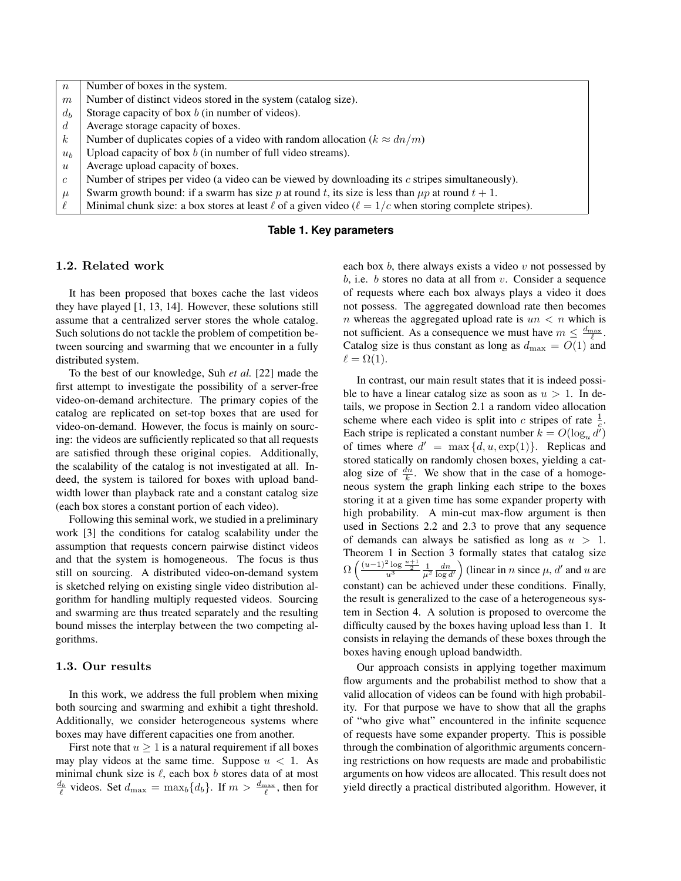| $\boldsymbol{n}$ | Number of boxes in the system.                                                                                  |
|------------------|-----------------------------------------------------------------------------------------------------------------|
| $\boldsymbol{m}$ | Number of distinct videos stored in the system (catalog size).                                                  |
| $d_b$            | Storage capacity of box $b$ (in number of videos).                                                              |
| $\overline{d}$   | Average storage capacity of boxes.                                                                              |
| $\boldsymbol{k}$ | Number of duplicates copies of a video with random allocation ( $k \approx dn/m$ )                              |
| $u_b$            | Upload capacity of box $b$ (in number of full video streams).                                                   |
| $\boldsymbol{u}$ | Average upload capacity of boxes.                                                                               |
| $\mathfrak{c}$   | Number of stripes per video (a video can be viewed by downloading its c stripes simultaneously).                |
| $\mu$            | Swarm growth bound: if a swarm has size p at round t, its size is less than $\mu p$ at round $t + 1$ .          |
| $\ell$           | Minimal chunk size: a box stores at least $\ell$ of a given video $(\ell = 1/c$ when storing complete stripes). |

#### **Table 1. Key parameters**

#### 1.2. Related work

It has been proposed that boxes cache the last videos they have played [1, 13, 14]. However, these solutions still assume that a centralized server stores the whole catalog. Such solutions do not tackle the problem of competition between sourcing and swarming that we encounter in a fully distributed system.

To the best of our knowledge, Suh *et al.* [22] made the first attempt to investigate the possibility of a server-free video-on-demand architecture. The primary copies of the catalog are replicated on set-top boxes that are used for video-on-demand. However, the focus is mainly on sourcing: the videos are sufficiently replicated so that all requests are satisfied through these original copies. Additionally, the scalability of the catalog is not investigated at all. Indeed, the system is tailored for boxes with upload bandwidth lower than playback rate and a constant catalog size (each box stores a constant portion of each video).

Following this seminal work, we studied in a preliminary work [3] the conditions for catalog scalability under the assumption that requests concern pairwise distinct videos and that the system is homogeneous. The focus is thus still on sourcing. A distributed video-on-demand system is sketched relying on existing single video distribution algorithm for handling multiply requested videos. Sourcing and swarming are thus treated separately and the resulting bound misses the interplay between the two competing algorithms.

#### 1.3. Our results

In this work, we address the full problem when mixing both sourcing and swarming and exhibit a tight threshold. Additionally, we consider heterogeneous systems where boxes may have different capacities one from another.

First note that  $u \geq 1$  is a natural requirement if all boxes may play videos at the same time. Suppose  $u < 1$ . As minimal chunk size is  $\ell$ , each box b stores data of at most  $\frac{d_b}{\ell}$  videos. Set  $d_{\max} = \max_b \{d_b\}$ . If  $m > \frac{d_{\max}}{\ell}$ , then for

each box  $b$ , there always exists a video  $v$  not possessed by  $b$ , i.e.  $b$  stores no data at all from  $v$ . Consider a sequence of requests where each box always plays a video it does not possess. The aggregated download rate then becomes n whereas the aggregated upload rate is  $un < n$  which is not sufficient. As a consequence we must have  $m \leq \frac{d_{\max}}{\ell}$ . Catalog size is thus constant as long as  $d_{\text{max}} = O(1)$  and  $\ell = \Omega(1)$ .

In contrast, our main result states that it is indeed possible to have a linear catalog size as soon as  $u > 1$ . In details, we propose in Section 2.1 a random video allocation scheme where each video is split into c stripes of rate  $\frac{1}{c}$ . Each stripe is replicated a constant number  $k = O(\log_u d^t)$ of times where  $d' = \max\{d, u, \exp(1)\}\)$ . Replicas and stored statically on randomly chosen boxes, yielding a catalog size of  $\frac{dn}{k}$ . We show that in the case of a homogeneous system the graph linking each stripe to the boxes storing it at a given time has some expander property with high probability. A min-cut max-flow argument is then used in Sections 2.2 and 2.3 to prove that any sequence of demands can always be satisfied as long as  $u > 1$ . Theorem 1 in Section 3 formally states that catalog size  $\Omega\left(\frac{(u-1)^2\log\frac{u+1}{2}}{u^3}\frac{1}{\mu^2}\frac{dn}{\log d'}\right)$  (linear in *n* since  $\mu$ , d' and u are constant) can be achieved under these conditions. Finally, the result is generalized to the case of a heterogeneous system in Section 4. A solution is proposed to overcome the difficulty caused by the boxes having upload less than 1. It consists in relaying the demands of these boxes through the boxes having enough upload bandwidth.

Our approach consists in applying together maximum flow arguments and the probabilist method to show that a valid allocation of videos can be found with high probability. For that purpose we have to show that all the graphs of "who give what" encountered in the infinite sequence of requests have some expander property. This is possible through the combination of algorithmic arguments concerning restrictions on how requests are made and probabilistic arguments on how videos are allocated. This result does not yield directly a practical distributed algorithm. However, it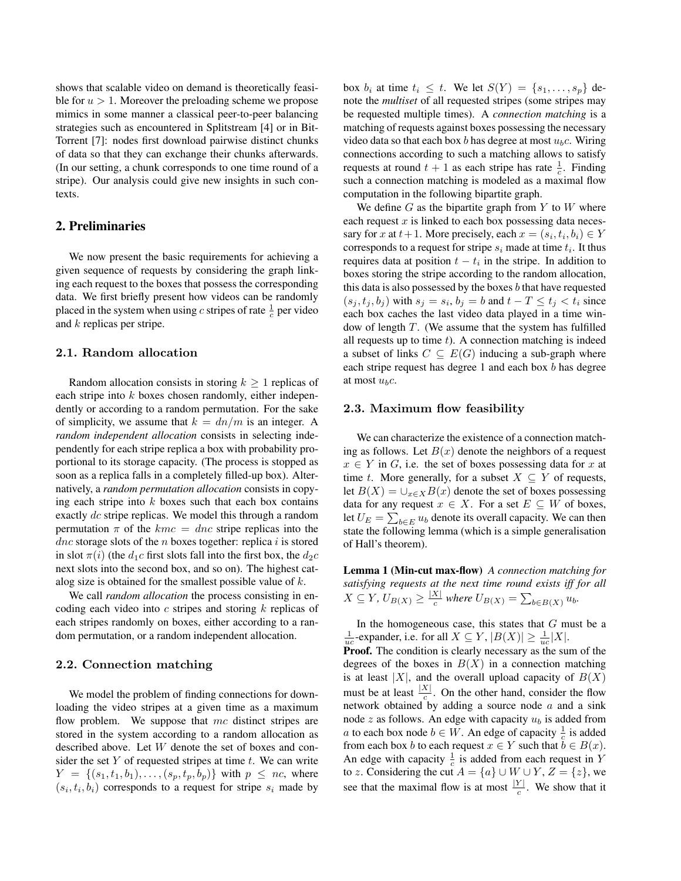shows that scalable video on demand is theoretically feasible for  $u > 1$ . Moreover the preloading scheme we propose mimics in some manner a classical peer-to-peer balancing strategies such as encountered in Splitstream [4] or in Bit-Torrent [7]: nodes first download pairwise distinct chunks of data so that they can exchange their chunks afterwards. (In our setting, a chunk corresponds to one time round of a stripe). Our analysis could give new insights in such contexts.

#### 2. Preliminaries

We now present the basic requirements for achieving a given sequence of requests by considering the graph linking each request to the boxes that possess the corresponding data. We first briefly present how videos can be randomly placed in the system when using c stripes of rate  $\frac{1}{c}$  per video and k replicas per stripe.

#### 2.1. Random allocation

Random allocation consists in storing  $k \geq 1$  replicas of each stripe into  $k$  boxes chosen randomly, either independently or according to a random permutation. For the sake of simplicity, we assume that  $k = dn/m$  is an integer. A *random independent allocation* consists in selecting independently for each stripe replica a box with probability proportional to its storage capacity. (The process is stopped as soon as a replica falls in a completely filled-up box). Alternatively, a *random permutation allocation* consists in copying each stripe into  $k$  boxes such that each box contains exactly dc stripe replicas. We model this through a random permutation  $\pi$  of the  $kmc = dnc$  stripe replicas into the  $\eta$  dnc storage slots of the n boxes together: replica i is stored in slot  $\pi(i)$  (the  $d_1c$  first slots fall into the first box, the  $d_2c$ next slots into the second box, and so on). The highest catalog size is obtained for the smallest possible value of k.

We call *random allocation* the process consisting in encoding each video into  $c$  stripes and storing  $k$  replicas of each stripes randomly on boxes, either according to a random permutation, or a random independent allocation.

#### 2.2. Connection matching

We model the problem of finding connections for downloading the video stripes at a given time as a maximum flow problem. We suppose that  $mc$  distinct stripes are stored in the system according to a random allocation as described above. Let W denote the set of boxes and consider the set  $Y$  of requested stripes at time  $t$ . We can write  $Y = \{(s_1, t_1, b_1), \ldots, (s_p, t_p, b_p)\}\$  with  $p \leq nc$ , where  $(s_i, t_i, b_i)$  corresponds to a request for stripe  $s_i$  made by box  $b_i$  at time  $t_i \leq t$ . We let  $S(Y) = \{s_1, \ldots, s_p\}$  denote the *multiset* of all requested stripes (some stripes may be requested multiple times). A *connection matching* is a matching of requests against boxes possessing the necessary video data so that each box b has degree at most  $u<sub>b</sub>c$ . Wiring connections according to such a matching allows to satisfy requests at round  $t + 1$  as each stripe has rate  $\frac{1}{c}$ . Finding such a connection matching is modeled as a maximal flow computation in the following bipartite graph.

We define  $G$  as the bipartite graph from  $Y$  to  $W$  where each request  $x$  is linked to each box possessing data necessary for x at  $t+1$ . More precisely, each  $x = (s_i, t_i, b_i) \in Y$ corresponds to a request for stripe  $s_i$  made at time  $t_i$ . It thus requires data at position  $t - t_i$  in the stripe. In addition to boxes storing the stripe according to the random allocation, this data is also possessed by the boxes  $b$  that have requested  $(s_j, t_j, b_j)$  with  $s_j = s_i, b_j = b$  and  $t - T \le t_j < t_i$  since each box caches the last video data played in a time window of length T. (We assume that the system has fulfilled all requests up to time  $t$ ). A connection matching is indeed a subset of links  $C \subseteq E(G)$  inducing a sub-graph where each stripe request has degree 1 and each box b has degree at most  $u_h c$ .

#### 2.3. Maximum flow feasibility

We can characterize the existence of a connection matching as follows. Let  $B(x)$  denote the neighbors of a request  $x \in Y$  in G, i.e. the set of boxes possessing data for x at time t. More generally, for a subset  $X \subseteq Y$  of requests, let  $B(X) = \bigcup_{x \in X} B(x)$  denote the set of boxes possessing data for any request  $x \in X$ . For a set  $E \subseteq W$  of boxes, let  $U_E = \sum_{b \in E} u_b$  denote its overall capacity. We can then state the following lemma (which is a simple generalisation of Hall's theorem).

Lemma 1 (Min-cut max-flow) *A connection matching for satisfying requests at the next time round exists iff for all*  $X \subseteq Y$ ,  $U_{B(X)} \geq \frac{|X|}{c}$  $\frac{dA}{dt}$  where  $U_{B(X)} = \sum_{b \in B(X)} u_b$ .

In the homogeneous case, this states that  $G$  must be a  $\frac{1}{uc}$ -expander, i.e. for all  $X \subseteq Y$ ,  $|B(X)| \geq \frac{1}{uc}|X|$ . Proof. The condition is clearly necessary as the sum of the degrees of the boxes in  $B(X)$  in a connection matching is at least  $|X|$ , and the overall upload capacity of  $B(X)$ must be at least  $\frac{|X|}{c}$ . On the other hand, consider the flow network obtained by adding a source node  $a$  and a sink node z as follows. An edge with capacity  $u<sub>b</sub>$  is added from *a* to each box node  $b \in W$ . An edge of capacity  $\frac{1}{c}$  is added from each box b to each request  $x \in Y$  such that  $b \in B(x)$ . An edge with capacity  $\frac{1}{c}$  is added from each request in Y to z. Considering the cut  $A = \{a\} \cup W \cup Y$ ,  $Z = \{z\}$ , we see that the maximal flow is at most  $\frac{|Y|}{c}$ . We show that it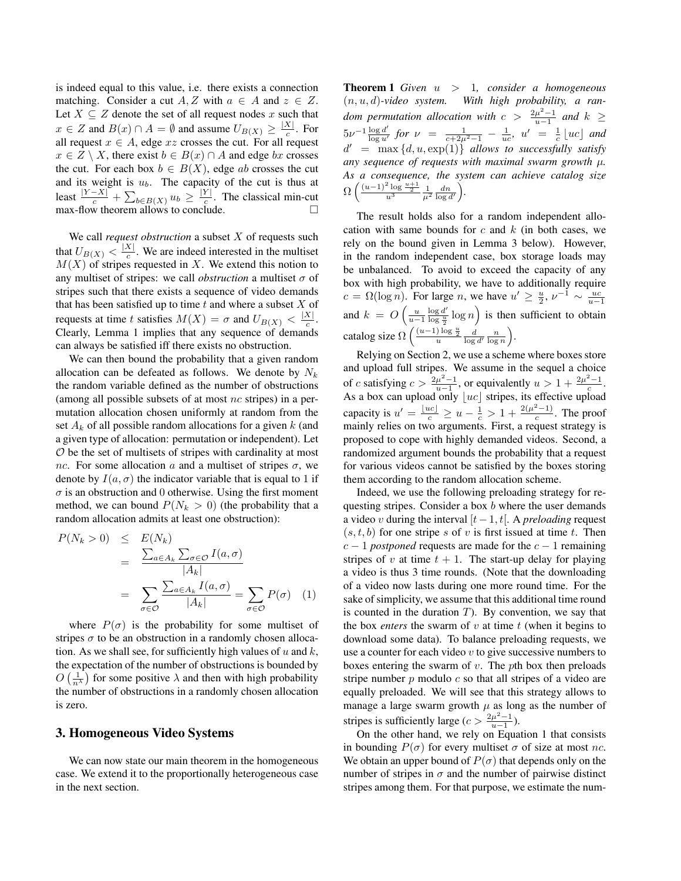is indeed equal to this value, i.e. there exists a connection matching. Consider a cut A, Z with  $a \in A$  and  $z \in Z$ . Let  $X \subseteq Z$  denote the set of all request nodes x such that  $x \in Z$  and  $B(x) \cap A = \emptyset$  and assume  $U_{B(X)} \ge \frac{|X|}{c}$  $rac{\Lambda}{c}$ . For all request  $x \in A$ , edge xz crosses the cut. For all request  $x \in Z \setminus X$ , there exist  $b \in B(x) \cap A$  and edge bx crosses the cut. For each box  $b \in B(X)$ , edge ab crosses the cut and its weight is  $u<sub>b</sub>$ . The capacity of the cut is thus at least  $\frac{|Y-X|}{c} + \sum_{b \in B(X)} u_b \ge \frac{|Y|}{c}$  $\frac{r}{c}$ . The classical min-cut  $\lim_{x \to 0}$  theorem allows to conclude.

We call *request obstruction* a subset X of requests such that  $U_{B(X)} < \frac{|X|}{c}$  $\frac{\Delta}{c}$ . We are indeed interested in the multiset  $M(X)$  of stripes requested in X. We extend this notion to any multiset of stripes: we call *obstruction* a multiset  $\sigma$  of stripes such that there exists a sequence of video demands that has been satisfied up to time  $t$  and where a subset  $X$  of requests at time t satisfies  $M(X) = \sigma$  and  $U_{B(X)} < \frac{|X|}{c}$  $\frac{\Lambda}{c}$ . Clearly, Lemma 1 implies that any sequence of demands can always be satisfied iff there exists no obstruction.

We can then bound the probability that a given random allocation can be defeated as follows. We denote by  $N_k$ the random variable defined as the number of obstructions (among all possible subsets of at most  $nc$  stripes) in a permutation allocation chosen uniformly at random from the set  $A_k$  of all possible random allocations for a given k (and a given type of allocation: permutation or independent). Let  $O$  be the set of multisets of stripes with cardinality at most nc. For some allocation a and a multiset of stripes  $\sigma$ , we denote by  $I(a, \sigma)$  the indicator variable that is equal to 1 if  $\sigma$  is an obstruction and 0 otherwise. Using the first moment method, we can bound  $P(N_k > 0)$  (the probability that a random allocation admits at least one obstruction):

$$
P(N_k > 0) \leq E(N_k)
$$
  
= 
$$
\frac{\sum_{a \in A_k} \sum_{\sigma \in \mathcal{O}} I(a, \sigma)}{|A_k|}
$$
  
= 
$$
\sum_{\sigma \in \mathcal{O}} \frac{\sum_{a \in A_k} I(a, \sigma)}{|A_k|} = \sum_{\sigma \in \mathcal{O}} P(\sigma)
$$
 (1)

where  $P(\sigma)$  is the probability for some multiset of stripes  $\sigma$  to be an obstruction in a randomly chosen allocation. As we shall see, for sufficiently high values of  $u$  and  $k$ , the expectation of the number of obstructions is bounded by  $O\left(\frac{1}{n^{\lambda}}\right)$  for some positive  $\lambda$  and then with high probability the number of obstructions in a randomly chosen allocation is zero.

#### 3. Homogeneous Video Systems

We can now state our main theorem in the homogeneous case. We extend it to the proportionally heterogeneous case in the next section.

Theorem 1 *Given* u > 1*, consider a homogeneous* (n, u, d)*-video system. With high probability, a random permutation allocation with*  $c > \frac{2\mu^2 - 1}{u - 1}$  and  $k \geq$  $5\nu^{-1} \frac{\log d'}{\log u'}$  $\frac{\log d'}{\log u'}$  for  $\nu = \frac{1}{c+2\mu^2-1} - \frac{1}{uc}$ ,  $u' = \frac{1}{c} \lfloor uc \rfloor$  and  $d' = \max\{d, u, \exp(1)\}\$ allows to successfully satisfy *any sequence of requests with maximal swarm growth* µ*. As a consequence, the system can achieve catalog size*  $\Omega\left(\frac{(u-1)^2\log\frac{u+1}{2}}{u^3}\frac{1}{\mu^2}\frac{dn}{\log d'}\right)$ *.*

The result holds also for a random independent allocation with same bounds for  $c$  and  $k$  (in both cases, we rely on the bound given in Lemma 3 below). However, in the random independent case, box storage loads may be unbalanced. To avoid to exceed the capacity of any box with high probability, we have to additionally require  $c = \Omega(\log n)$ . For large n, we have  $u' \ge \frac{u}{2}$ ,  $v^{-1} \sim \frac{uc}{u}$ 2<sup>,  $\frac{u}{u-1}$ </sup> and  $k = O\left(\frac{u}{u-1}\frac{\log d'}{\log \frac{u}{2}}\right)$  $\frac{\log d'}{\log \frac{u}{2}} \log n$  is then sufficient to obtain catalog size  $\Omega\left(\frac{(u-1)\log\frac{u}{2}}{u}\frac{d}{\log d'}\frac{n}{\log n}\right)$ .

Relying on Section 2, we use a scheme where boxes store and upload full stripes. We assume in the sequel a choice of c satisfying  $c > \frac{2\mu^2 - 1}{u - 1}$ , or equivalently  $u > 1 + \frac{2\mu^2 - 1}{c}$ . As a box can upload only  $[uc]$  stripes, its effective upload capacity is  $u' = \frac{|uc|}{c} \ge u - \frac{1}{c} > 1 + \frac{2(\mu^2 - 1)}{c}$  $\frac{-1}{c}$ . The proof mainly relies on two arguments. First, a request strategy is proposed to cope with highly demanded videos. Second, a randomized argument bounds the probability that a request for various videos cannot be satisfied by the boxes storing them according to the random allocation scheme.

Indeed, we use the following preloading strategy for requesting stripes. Consider a box  $b$  where the user demands a video v during the interval [t−1, t[. A *preloading* request  $(s, t, b)$  for one stripe s of v is first issued at time t. Then  $c - 1$  *postponed* requests are made for the  $c - 1$  remaining stripes of v at time  $t + 1$ . The start-up delay for playing a video is thus 3 time rounds. (Note that the downloading of a video now lasts during one more round time. For the sake of simplicity, we assume that this additional time round is counted in the duration  $T$ ). By convention, we say that the box *enters* the swarm of  $v$  at time  $t$  (when it begins to download some data). To balance preloading requests, we use a counter for each video  $v$  to give successive numbers to boxes entering the swarm of  $v$ . The pth box then preloads stripe number  $p$  modulo  $c$  so that all stripes of a video are equally preloaded. We will see that this strategy allows to manage a large swarm growth  $\mu$  as long as the number of stripes is sufficiently large  $(c > \frac{2\mu^2 - 1}{u - 1})$ .

On the other hand, we rely on Equation 1 that consists in bounding  $P(\sigma)$  for every multiset  $\sigma$  of size at most nc. We obtain an upper bound of  $P(\sigma)$  that depends only on the number of stripes in  $\sigma$  and the number of pairwise distinct stripes among them. For that purpose, we estimate the num-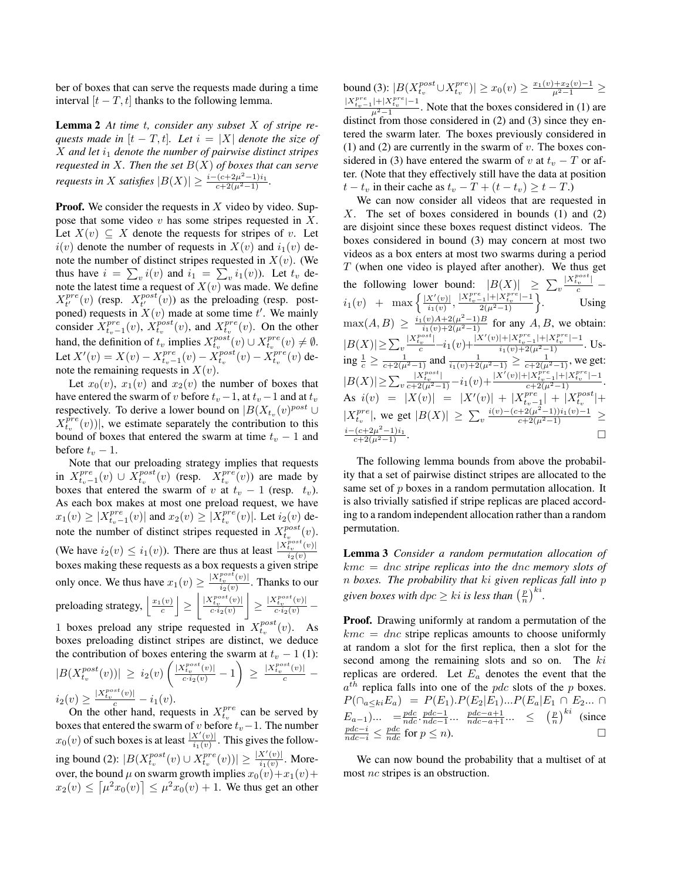ber of boxes that can serve the requests made during a time interval  $[t - T, t]$  thanks to the following lemma.

Lemma 2 *At time* t*, consider any subset* X *of stripe requests made in*  $[t - T, t]$ *. Let*  $i = |X|$  *denote the size of*  $X$  *and let*  $i_1$  *denote the number of pairwise distinct stripes requested in* X*. Then the set* B(X) *of boxes that can serve requests in X satisfies*  $|B(X)| \ge \frac{i - (c + 2\mu^2 - 1)i_1}{c + 2(\mu^2 - 1)}$ .

**Proof.** We consider the requests in  $X$  video by video. Suppose that some video  $v$  has some stripes requested in  $X$ . Let  $X(v) \subseteq X$  denote the requests for stripes of v. Let  $i(v)$  denote the number of requests in  $X(v)$  and  $i_1(v)$  denote the number of distinct stripes requested in  $X(v)$ . (We thus have  $i = \sum_{v} i(v)$  and  $i_1 = \sum_{v} i_1(v)$ ). Let  $t_v$  denote the latest time a request of  $X(v)$  was made. We define  $X_{t'}^{pre}(v)$  (resp.  $X_{t'}^{post}(v)$ ) as the preloading (resp. postponed) requests in  $X(v)$  made at some time t'. We mainly consider  $\hat{X}^{pre}_{t_v-1}(v)$ ,  $\hat{X}^{post}_{t_v}(v)$ , and  $X^{pre}_{t_v}(v)$ . On the other hand, the definition of  $t_v$  implies  $X_{t_v}^{post}(v) \cup X_{t_v}^{pre}(v) \neq \emptyset$ . Let  $X'(v) = X(v) - X_{t_v-1}^{pre}(v) - X_{t_v}^{post}(v) - X_{t_v}^{pre}(v)$  denote the remaining requests in  $X(v)$ .

Let  $x_0(v)$ ,  $x_1(v)$  and  $x_2(v)$  the number of boxes that have entered the swarm of v before  $t_v - 1$ , at  $t_v - 1$  and at  $t_v$ respectively. To derive a lower bound on  $|B(X_{t_v}(v)^{post} \cup$  $X_t^{\hat{pre}}(v)$ , we estimate separately the contribution to this bound of boxes that entered the swarm at time  $t_v - 1$  and before  $t_v - 1$ .

Note that our preloading strategy implies that requests in  $X_{t_v-1}^{pre}(v) \cup \overline{X}_{t_v}^{post}(v)$  (resp.  $X_{t_v}^{pre}(v)$ ) are made by boxes that entered the swarm of v at  $t_v - 1$  (resp.  $t_v$ ). As each box makes at most one preload request, we have  $x_1(v) \ge |X^{pre}_{t_v-1}(v)|$  and  $x_2(v) \ge |X^{pre}_{t_v}(v)|$ . Let  $i_2(v)$  denote the number of distinct stripes requested in  $X_{t_v}^{post}(v)$ . (We have  $i_2(v) \leq i_1(v)$ ). There are thus at least  $\frac{|X_{t}^{post}(v)|}{i_2(v)}$  $i_2(v)$ boxes making these requests as a box requests a given stripe only once. We thus have  $x_1(v) \geq \frac{|X_{t_v}^{post}(v)|}{i_0(v)}$  $\frac{t_v - (v)}{i_2(v)}$ . Thanks to our preloading strategy,  $\frac{x_1(v)}{c}$  $\left| \frac{v}{c} \right| \geq \left| \frac{|X^{post}_{t_v}(v)|}{c \cdot i_2(v)} \right|$  $c·i_2(v)$  $\left| \ \geq \frac{|X^{post}_{t_v}(v)|}{c \cdot i_2(v)} - \right|$ 1 boxes preload any stripe requested in  $X_{t_v}^{post}(v)$ . As boxes preloading distinct stripes are distinct, we deduce the contribution of boxes entering the swarm at  $t_v - 1$  (1):

 $|B(X_{t_v}^{post}(v))| \geq i_2(v) \left( \frac{|X_{t_v}^{post}(v)|}{c_i i_2(v)} - 1 \right) \geq \frac{|X_{t_v}^{post}(v)|}{c}$  $i_2(v) \geq \frac{|X^{post}_{t_v}(v)|}{c} - i_1(v).$ 

On the other hand, requests in  $X_{t_v}^{pre}$  can be served by boxes that entered the swarm of v before  $t_v-1$ . The number  $x_0(v)$  of such boxes is at least  $\frac{|X'(v)|}{i_1(v)}$  $\frac{\lambda^{(v)}(v)}{i_1(v)}$ . This gives the following bound (2):  $|B(X_{t_v}^{post}(v) \cup X_{t_v}^{pre}(v))| \ge \frac{|X'(v)|}{i_1(v)}$  $\frac{\Lambda^-(v)|}{i_1(v)}$ . Moreover, the bound  $\mu$  on swarm growth implies  $x_0(v)+x_1(v)+x_2(v)$  $x_2(v) \leq \left[\mu^2 x_0(v)\right] \leq \mu^2 x_0(v) + 1$ . We thus get an other

bound (3):  $|B(X_{t_v}^{post} \cup X_{t_v}^{pre})| \ge x_0(v) \ge \frac{x_1(v) + x_2(v) - 1}{\mu^2 - 1} \ge$  $|X^{pre}_{t_v-1}|+|X^{pre}_{t_v}|-1$  $\frac{1+2\lambda_{t_v}-1}{\mu^2-1}$ . Note that the boxes considered in (1) are distinct from those considered in (2) and (3) since they entered the swarm later. The boxes previously considered in (1) and (2) are currently in the swarm of  $v$ . The boxes considered in (3) have entered the swarm of v at  $t_v - T$  or after. (Note that they effectively still have the data at position  $t - t_v$  in their cache as  $t_v - T + (t - t_v) \geq t - T$ .)

We can now consider all videos that are requested in  $X$ . The set of boxes considered in bounds (1) and (2) are disjoint since these boxes request distinct videos. The boxes considered in bound (3) may concern at most two videos as a box enters at most two swarms during a period  $T$  (when one video is played after another). We thus get the following lower bound:  $|B(X)| \geq \sum_{v}$  $\frac{|X^{post}_{t_v}|}{c}$  –  $i_1(v)$  + max  $\left\{\frac{|X'(v)|}{i_1(v)}\right\}$  $\frac{X'(v)|}{X_{t_1}(v)}, \frac{|X_{t_v-1}^{pre}|+|X_{t_v}^{pre}|-1}{2(\mu^2-1)}\bigg\}.$  Using  $\max(A, B) \geq \frac{i_1(v)A + 2(\mu^2 - 1)B}{i_1(v) + 2(\mu^2 - 1)}$  for any A, B, we obtain:  $|B(X)| \geq \sum_{v}$  $\frac{|X_{t_v}^{post}|}{c}$   $-i_1(v) + \frac{|X'(v)|+|X_{t_v-1}^{pre}|+|X_{t_v}^{pre}|-1}{i_1(v)+2(\mu^2-1)}$ . Using  $\frac{1}{c} \ge \frac{1}{c+2(\mu^2-1)}$  and  $\frac{1}{i_1(v)+2(\mu^2-1)} \ge \frac{1}{c+2(\mu^2-1)}$ , we get:  $|B(X)| \geq \sum_{v}$  $\frac{|X_{t_v}^{post}|}{c+2(\mu^2-1)}-i_1(v)+\frac{|X'(v)|+|X_{t_v-1}^{pre}|+|X_{t_v}^{pre}|-1}{c+2(\mu^2-1)}.$ As  $i(v) = |X(v)| = |X'(v)| + |X_{t_v-1}^{pre}| + |X_{t_v}^{post}| +$  $|X_{t_v}^{pre}|$ , we get  $|B(X)|$  ≥  $\sum_{v} \frac{i(v)-(c+2(\mu^2-1))i_1(v)-1}{c+2(\mu^2-1)}$  ≥  $\frac{i-(c+2\mu^2-1)i_1}{c+2(\mu^2-1)}$ . □

The following lemma bounds from above the probability that a set of pairwise distinct stripes are allocated to the same set of  $p$  boxes in a random permutation allocation. It is also trivially satisfied if stripe replicas are placed according to a random independent allocation rather than a random permutation.

Lemma 3 *Consider a random permutation allocation of* kmc = dnc *stripe replicas into the* dnc *memory slots of* n *boxes. The probability that* ki *given replicas fall into* p given boxes with  $dpc \geq ki$  is less than  $\left(\frac{p}{n}\right)^{ki}$ .

Proof. Drawing uniformly at random a permutation of the  $kmc = dnc$  stripe replicas amounts to choose uniformly at random a slot for the first replica, then a slot for the second among the remaining slots and so on. The ki replicas are ordered. Let  $E_a$  denotes the event that the  $a^{th}$  replica falls into one of the pdc slots of the p boxes.  $P(\bigcap_{a \leq ki} E_a) = P(E_1) \cdot P(E_2 | E_1) \cdot P(E_a | E_1 \cap E_2) \cdot \dots \cdot P(E_a | E_a)$  $E_{a-1}$ )...  $= \frac{pde}{nde} \cdot \frac{pde-1}{nde-1} \dots \frac{pde-a+1}{nde-a+1} \dots \leq {(\frac{p}{n})}^{ki}$  (since  $\frac{pdc-i}{ndc-i}$  ≤  $\frac{pdc}{ndc}$  for  $p \leq n$ ).

We can now bound the probability that a multiset of at most nc stripes is an obstruction.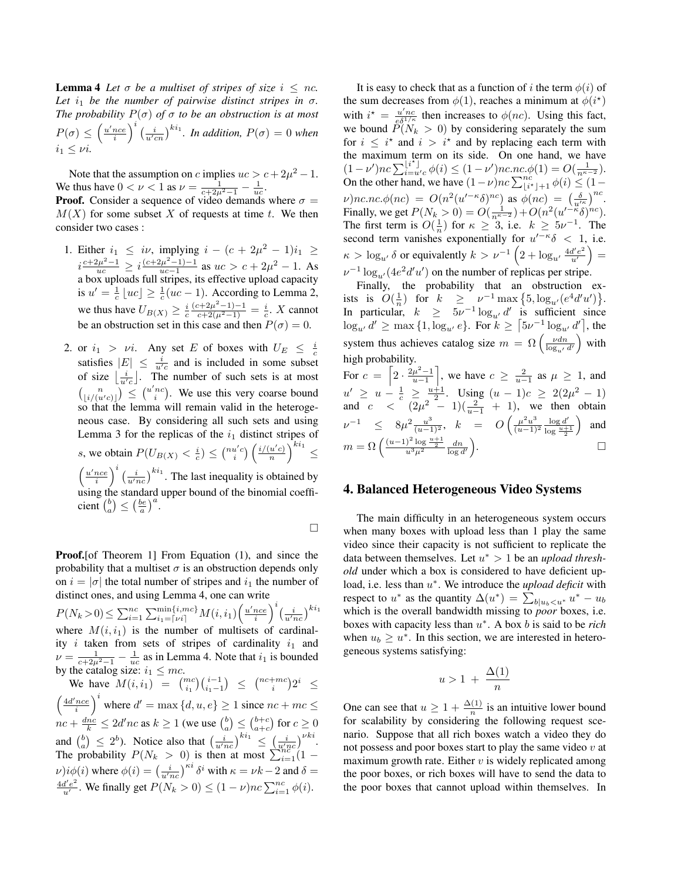**Lemma 4** *Let*  $\sigma$  *be a multiset of stripes of size*  $i \leq nc$ . Let  $i_1$  be the number of pairwise distinct stripes in  $\sigma$ . *The probability*  $P(\sigma)$  *of*  $\sigma$  *to be an obstruction is at most*  $P(\sigma) \leq \left(\frac{u' n ce}{i}\right)^i \left(\frac{i}{u'cn}\right)^{ki_1}$ . In addition,  $P(\sigma) = 0$  when  $i_1 \leq \nu i.$ 

Note that the assumption on c implies  $uc > c + 2\mu^2 - 1$ . We thus have  $0 < \nu < 1$  as  $\nu = \frac{1}{c + 2\mu^2 - 1} - \frac{1}{uc}$ .

**Proof.** Consider a sequence of video demands where  $\sigma$  =  $M(X)$  for some subset X of requests at time t. We then consider two cases :

- 1. Either  $i_1 \leq i\nu$ , implying  $i (c + 2\mu^2 1)i_1 \geq$  $i\frac{c+2\mu^2-1}{uc} \geq i\frac{(c+2\mu^2-1)-1}{uc-1}$  $\frac{2\mu^2 - 1 - 1}{\mu c - 1}$  as  $uc > c + 2\mu^2 - 1$ . As a box uploads full stripes, its effective upload capacity is  $u' = \frac{1}{c} \lfloor uc \rfloor \ge \frac{1}{c} (uc - 1)$ . According to Lemma 2, we thus have  $U_{B(X)} \geq \frac{i}{c}$  $\frac{(c+2\mu^2-1)-1}{c+2(\mu^2-1)} = \frac{i}{c}$ . X cannot be an obstruction set in this case and then  $P(\sigma) = 0$ .
- 2. or  $i_1 > \nu i$ . Any set E of boxes with  $U_E \leq \frac{i}{c}$ satisfies  $|E| \leq \frac{i}{u'c}$  and is included in some subset of size  $\left\lfloor \frac{i}{u'c} \right\rfloor$ . The number of such sets is at most  $\binom{n}{\lfloor i/(u'c)\rfloor} \leq \binom{u'nc}{i}$ . We use this very coarse bound so that the lemma will remain valid in the heterogeneous case. By considering all such sets and using Lemma 3 for the replicas of the  $i_1$  distinct stripes of s, we obtain  $P(U_{B(X)} < \frac{i}{c}) \leq {n u' c \choose i} \left(\frac{i/(u'c)}{n}\right)$  $\left(\frac{u'c)}{n}\right)^{ki_1} \leq$  $\left(\frac{u'nce}{i}\right)^i \left(\frac{i}{u'nc}\right)^{ki_1}$ . The last inequality is obtained by using the standard upper bound of the binomial coefficient  $\binom{b}{a} \leq \left(\frac{be}{a}\right)^a$ .

 $\Box$ 

Proof.[of Theorem 1] From Equation (1), and since the probability that a multiset  $\sigma$  is an obstruction depends only on  $i = |\sigma|$  the total number of stripes and  $i_1$  the number of distinct ones, and using Lemma 4, one can write

 $P(N_k > 0) \leq \sum_{i=1}^{nc} \sum_{i_1=[\nu i]}^{\min\{i,mc\}} M(i, i_1) \left(\frac{u'nce}{i}\right)^i \left(\frac{i}{u'nc}\right)^{ki_1}$ where  $M(i, i<sub>1</sub>)$  is the number of multisets of cardinality  $i$  taken from sets of stripes of cardinality  $i_1$  and  $\nu = \frac{1}{c+2\mu^2-1} - \frac{1}{uc}$  as in Lemma 4. Note that  $i_1$  is bounded by the catalog size:  $i_1 \leq mc$ .

We have  $M(i, i_1) = {m c \choose i_1} {i-1 \choose i_1-1} \leq {n c + m c \choose i} 2^i \leq$  $\left(\frac{4d'nce}{i}\right)^i$  where  $d' = \max\{d, u, e\} \ge 1$  since  $nc + mc \le$  $nc + \frac{dnc}{k} \leq 2d'nc$  as  $k \geq 1$  (we use  $\binom{b}{a} \leq \binom{b+c}{a+c}$  for  $c \geq 0$ and  $\binom{b}{a} \leq 2^b$ ). Notice also that  $\left(\frac{i}{u'nc}\right)^{ki_1} \leq \left(\frac{i}{u'nc}\right)^{\nu ki}$ . The probability  $P(N_k > 0)$  is then at most  $\sum_{i=1}^{n} (1 \nu$ ) $i\phi(i)$  where  $\phi(i) = \left(\frac{i}{u'nc}\right)^{\kappa i} \delta^i$  with  $\kappa = \nu k - 2$  and  $\delta =$  $\frac{4d'e^2}{u'}$ . We finally get  $P(N_k > 0) \le (1 - \nu)nc \sum_{i=1}^{nc} \phi(i)$ .

It is easy to check that as a function of i the term  $\phi(i)$  of the sum decreases from  $\phi(1)$ , reaches a minimum at  $\phi(i^*)$ with  $i^* = \frac{u'nc}{e\delta^{1/\kappa}}$  then increases to  $\phi(nc)$ . Using this fact, we bound  $\tilde{P}(N_k > 0)$  by considering separately the sum for  $i \leq i^*$  and  $i > i^*$  and by replacing each term with the maximum term on its side. On one hand, we have  $(1-\nu')nc\sum_{i=u'c}^{\lfloor i^{\star}\rfloor}\phi(i) \leq (1-\nu')nc\cdot nc\phi(1) = O(\frac{1}{n^{\kappa-2}}).$ On the other hand, we have  $(1 - \nu)nc\sum_{i=1}^{n_c} \phi(i) \leq (1 - \nu)n$  $\nu$ )nc.nc. $\phi(nc) = O(n^2(u'^{-\kappa}\delta)^{nc})$  as  $\phi(nc) = \left(\frac{\delta}{u'^{\kappa}}\right)^{nc}$ . Finally, we get  $P(N_k > 0) = O(\frac{1}{n^{\kappa-2}}) + O(n^2(u'^{-\kappa}\delta)^{nc}).$ The first term is  $O(\frac{1}{n})$  for  $\kappa \geq 3$ , i.e.  $k \geq 5\nu^{-1}$ . The second term vanishes exponentially for  $u'^{-\kappa}\delta < 1$ , i.e.  $\kappa > \log_{u'} \delta$  or equivalently  $k > \nu^{-1} \left( 2 + \log_{u'} \frac{4d'e^2}{u'} \right) =$  $\nu^{-1} \log_{u'}(4e^2 d'u')$  on the number of replicas per stripe.

Finally, the probability that an obstruction exists is  $O(\frac{1}{n})$  for  $k \geq \nu^{-1} \max\left\{5, \log_{u'}(e^4 d' u')\right\}.$ In particular,  $k \geq 5\nu^{-1} \log_{u'} d'$  is sufficient since  $\log_{u'} d' \ge \max\{1, \log_{u'} e\}.$  For  $k \ge \lceil 5\nu^{-1} \log_{u'} d' \rceil$ , the system thus achieves catalog size  $m = \Omega\left(\frac{\nu d n}{\log_{u'} d'}\right)$  with high probability.

For  $c = \left[2 \cdot \frac{2\mu^2 - 1}{u - 1}\right]$ , we have  $c \ge \frac{2}{u - 1}$  as  $\mu \ge 1$ , and  $u' \geq u - \frac{1}{c} \geq \frac{u+1}{2}$ . Using  $(u-1)c \geq 2(2\mu^2-1)$ and  $c < (2\mu^2 - 1)(\frac{2}{u-1} + 1)$ , we then obtain  $\nu^{-1}$   $\leq$   $8\mu^2 \frac{u^3}{(u-1)^2}$ ,  $k$  =  $O\left(\frac{\mu^2 u^3}{(u-1)^2} \frac{\log d'}{\log \frac{u+1}{2}}\right)$  $\setminus$ and  $m = \Omega\left(\frac{(u-1)^2\log\frac{u+1}{2}}{u^3\mu^2}\frac{dn}{\log d'}\right).$ 

#### 4. Balanced Heterogeneous Video Systems

The main difficulty in an heterogeneous system occurs when many boxes with upload less than 1 play the same video since their capacity is not sufficient to replicate the data between themselves. Let  $u^* > 1$  be an *upload threshold* under which a box is considered to have deficient upload, i.e. less than  $u^*$ . We introduce the *upload deficit* with respect to  $u^*$  as the quantity  $\Delta(u^*) = \sum_{b|u_b < u^*} u^* - u_b$ which is the overall bandwidth missing to *poor* boxes, i.e. boxes with capacity less than u ∗ . A box b is said to be *rich* when  $u_b \geq u^*$ . In this section, we are interested in heterogeneous systems satisfying:

$$
u > 1 + \frac{\Delta(1)}{n}
$$

One can see that  $u \geq 1 + \frac{\Delta(1)}{n}$  is an intuitive lower bound for scalability by considering the following request scenario. Suppose that all rich boxes watch a video they do not possess and poor boxes start to play the same video  $v$  at maximum growth rate. Either  $v$  is widely replicated among the poor boxes, or rich boxes will have to send the data to the poor boxes that cannot upload within themselves. In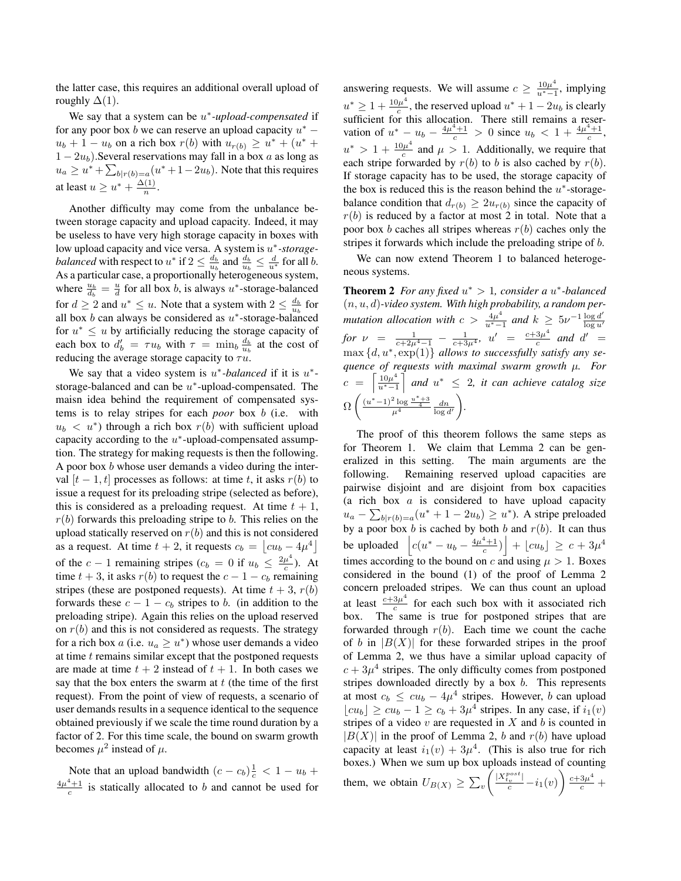the latter case, this requires an additional overall upload of roughly  $\Delta(1)$ .

We say that a system can be  $u^*$ -upload-compensated if for any poor box b we can reserve an upload capacity  $u^*$  –  $u_b + 1 - u_b$  on a rich box  $r(b)$  with  $u_{r(b)} \geq u^* + (u^* +$  $1 - 2u_b$ ). Several reservations may fall in a box a as long as  $u_a \geq u^* + \sum_{b|r(b)=a} (u^* + 1 - 2u_b)$ . Note that this requires at least  $u \geq u^* + \frac{\Delta(1)}{n}$  $\frac{(1)}{n}$ .

Another difficulty may come from the unbalance between storage capacity and upload capacity. Indeed, it may be useless to have very high storage capacity in boxes with low upload capacity and vice versa. A system is u ∗ *-storagebalanced* with respect to  $u^*$  if  $2 \leq \frac{d_b}{u_b}$  and  $\frac{d_b}{u_b} \leq \frac{d}{u^*}$  for all *b*. As a particular case, a proportionally heterogeneous system, where  $\frac{u_b}{d_b} = \frac{u}{d}$  for all box *b*, is always *u*<sup>\*</sup>-storage-balanced for  $d \ge 2$  and  $u^* \le u$ . Note that a system with  $2 \le \frac{d_b}{u_b}$  for all box *b* can always be considered as  $u^*$ -storage-balanced for  $u^* \leq u$  by artificially reducing the storage capacity of each box to  $d'_b = \tau u_b$  with  $\tau = \min_b \frac{d_b}{u_b}$  at the cost of reducing the average storage capacity to  $\tau u$ .

We say that a video system is  $u^*$ -balanced if it is  $u^*$ storage-balanced and can be  $u^*$ -upload-compensated. The maisn idea behind the requirement of compensated systems is to relay stripes for each *poor* box b (i.e. with  $u_b < u^*$ ) through a rich box  $r(b)$  with sufficient upload capacity according to the  $u^*$ -upload-compensated assumption. The strategy for making requests is then the following. A poor box b whose user demands a video during the interval  $[t - 1, t]$  processes as follows: at time t, it asks  $r(b)$  to issue a request for its preloading stripe (selected as before), this is considered as a preloading request. At time  $t + 1$ ,  $r(b)$  forwards this preloading stripe to b. This relies on the upload statically reserved on  $r(b)$  and this is not considered as a request. At time  $t + 2$ , it requests  $c_b = \lfloor cu_b - 4\mu^4 \rfloor$ of the  $c - 1$  remaining stripes  $(c_b = 0$  if  $u_b \leq \frac{2\mu^4}{c}$  $\frac{\mu}{c}$ ). At time  $t + 3$ , it asks  $r(b)$  to request the  $c - 1 - c_b$  remaining stripes (these are postponed requests). At time  $t + 3$ ,  $r(b)$ forwards these  $c - 1 - c_b$  stripes to b. (in addition to the preloading stripe). Again this relies on the upload reserved on  $r(b)$  and this is not considered as requests. The strategy for a rich box a (i.e.  $u_a \ge u^*$ ) whose user demands a video at time  $t$  remains similar except that the postponed requests are made at time  $t + 2$  instead of  $t + 1$ . In both cases we say that the box enters the swarm at  $t$  (the time of the first request). From the point of view of requests, a scenario of user demands results in a sequence identical to the sequence obtained previously if we scale the time round duration by a factor of 2. For this time scale, the bound on swarm growth becomes  $\mu^2$  instead of  $\mu$ .

Note that an upload bandwidth  $(c - c_b)^{\frac{1}{c}} < 1 - u_b +$  $\frac{4\mu^4+1}{c}$  is statically allocated to b and cannot be used for

answering requests. We will assume  $c \geq \frac{10\mu^4}{u^*-1}$ , implying  $u^* \geq 1 + \frac{10\mu^4}{c}$  $\frac{\partial \mu^*}{\partial c}$ , the reserved upload  $u^* + 1 - 2u_b$  is clearly sufficient for this allocation. There still remains a reservation of  $u^* - u_b - \frac{4\mu^4 + 1}{c} > 0$  since  $u_b < 1 + \frac{4\mu^4 + 1}{c}$ ,  $u^*$  > 1 +  $\frac{10\mu^4}{c}$  $\frac{\partial \mu}{\partial c}$  and  $\mu > 1$ . Additionally, we require that each stripe forwarded by  $r(b)$  to b is also cached by  $r(b)$ . If storage capacity has to be used, the storage capacity of the box is reduced this is the reason behind the  $u^*$ -storagebalance condition that  $d_{r(b)} \geq 2u_{r(b)}$  since the capacity of  $r(b)$  is reduced by a factor at most 2 in total. Note that a poor box b caches all stripes whereas  $r(b)$  caches only the stripes it forwards which include the preloading stripe of b.

We can now extend Theorem 1 to balanced heterogeneous systems.

**Theorem 2** For any fixed  $u^* > 1$ , consider a  $u^*$ -balanced (n, u, d)*-video system. With high probability, a random permutation allocation with*  $c > \frac{4\mu^4}{u^* - 1}$  *and*  $k \ge 5\nu^{-1} \frac{\log d'}{\log u'}$  $\overline{\log u'}$ *for*  $\nu = \frac{1}{c+2\mu^4-1} - \frac{1}{c+3\mu^4}$ ,  $u' = \frac{c+3\mu^4}{c}$  $rac{3\mu^4}{c}$  and  $d' =$ max {d, u<sup>∗</sup> , exp(1)} *allows to successfully satisfy any sequence of requests with maximal swarm growth* µ*. For*  $c = \left\lceil \frac{10\mu^4}{u^*-1} \right\rceil$  and  $u^* \leq 2$ , it can achieve catalog size  $\Omega \left( \frac{(u^*-1)^2 \log \frac{u^*+3}{4}}{\mu^4} \frac{dn}{\log d'} \right)$ *.*

The proof of this theorem follows the same steps as for Theorem 1. We claim that Lemma 2 can be generalized in this setting. The main arguments are the following. Remaining reserved upload capacities are pairwise disjoint and are disjoint from box capacities (a rich box  $a$  is considered to have upload capacity  $u_a - \sum_{b|r(b)=a} (u^* + 1 - 2u_b) \ge u^*$ ). A stripe preloaded by a poor box b is cached by both b and  $r(b)$ . It can thus be uploaded  $|c(u^* - u_b - \frac{4\mu^4 + 1}{c})| + |cu_b| \geq c + 3\mu^4$ times according to the bound on c and using  $\mu > 1$ . Boxes considered in the bound (1) of the proof of Lemma 2 concern preloaded stripes. We can thus count an upload at least  $\frac{c+3\mu^4}{c}$  $\frac{3\mu}{c}$  for each such box with it associated rich box. The same is true for postponed stripes that are forwarded through  $r(b)$ . Each time we count the cache of b in  $|B(X)|$  for these forwarded stripes in the proof of Lemma 2, we thus have a similar upload capacity of  $c + 3\mu^4$  stripes. The only difficulty comes from postponed stripes downloaded directly by a box b. This represents at most  $c_b \leq cu_b - 4\mu^4$  stripes. However, b can upload  $\lfloor cu_b \rfloor \ge cu_b - 1 \ge c_b + 3\mu^4$  stripes. In any case, if  $i_1(v)$ stripes of a video  $v$  are requested in  $X$  and  $b$  is counted in  $|B(X)|$  in the proof of Lemma 2, b and  $r(b)$  have upload capacity at least  $i_1(v) + 3\mu^4$ . (This is also true for rich boxes.) When we sum up box uploads instead of counting them, we obtain  $U_{B(X)} \geq \sum_{v}$  $\left( \frac{|X_{t_v}^{post}|}{c} - i_1(v) \right) \frac{c + 3\mu^4}{c} +$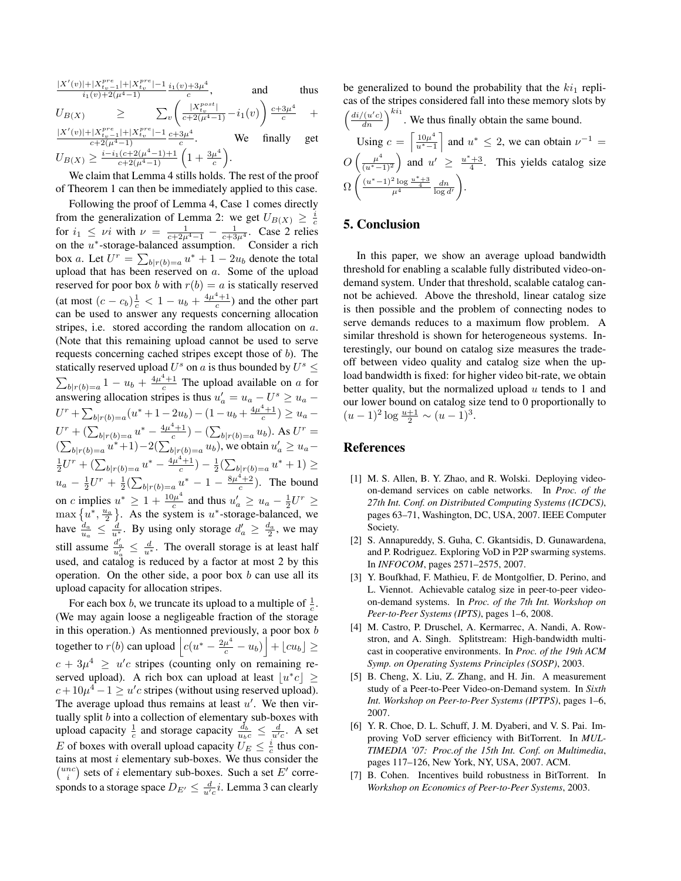$$
\label{eq:U} \begin{array}{ll} \frac{|X'(v)|+|X^{pre}_{t_v-1}|+|X^{pre}_{t_v}|-1}{i_1(v)+2(\mu^4-1)}\frac{i_1(v)+3\mu^4}{c}, & \text{and} & \text{thus} \\ U_{B(X)} & \geq & \sum_v \left(\frac{|X^{post}_{t_v-1}|}{c+2(\mu^4-1)}-i_1(v)\right)\frac{c+3\mu^4}{c} \\ \frac{|X'(v)|+|X^{pre}_{t_v-1}|+|X^{pre}_{t_v}|-1}{c+2(\mu^4-1)}\frac{c+3\mu^4}{c}. & \text{We finally get} \\ U_{B(X)} \geq \frac{i-i_1(c+2(\mu^4-1)+1}{c+2(\mu^4-1)}\left(1+\frac{3\mu^4}{c}\right). \end{array}
$$

We claim that Lemma 4 stills holds. The rest of the proof of Theorem 1 can then be immediately applied to this case.

Following the proof of Lemma 4, Case 1 comes directly from the generalization of Lemma 2: we get  $U_{B(X)} \geq \frac{i}{c}$ for  $i_1 \leq \nu i$  with  $\nu = \frac{1}{c+2\mu^4-1} - \frac{1}{c+3\mu^4}$ . Case 2 relies on the  $u^*$ -storage-balanced assumption. Consider a rich box *a*. Let  $U^r = \sum_{b|r(b)=a} u^* + 1 - 2u_b$  denote the total upload that has been reserved on  $a$ . Some of the upload reserved for poor box b with  $r(b) = a$  is statically reserved (at most  $(c - c_b) \frac{1}{c} < 1 - u_b + \frac{4\mu^4 + 1}{c}$ ) and the other part can be used to answer any requests concerning allocation stripes, i.e. stored according the random allocation on a. (Note that this remaining upload cannot be used to serve requests concerning cached stripes except those of b). The statically reserved upload  $U^s$  on a is thus bounded by  $U^s \leq$  $\sum_{b|r(b)=a} 1 - u_b + \frac{4\mu^4 + 1}{c}$  The upload available on a for answering allocation stripes is thus  $u'_a = u_a - U^s \ge u_a$  $U^r + \sum_{b|r(b)=a} (u^* + 1 - 2u_b) - (1 - u_b + \frac{4\mu^4 + 1}{c}) \ge u_a$  $U^r + (\sum_{b|r(b)=a} u^* - \frac{4\mu^4+1}{c}) - (\sum_{b|r(b)=a} u_b)$ . As  $U^r =$  $(\sum_{b|r(b)=a} u^* + 1) - 2(\sum_{b|r(b)=a} u_b)$ , we obtain  $u'_a \ge u_a$  $\frac{1}{2}U^r + \left(\sum_{b|r(b)=a} u^* - \frac{4\mu^4 + 1}{c}\right) - \frac{1}{2}(\sum_{b|r(b)=a} u^* + 1) \ge$  $u_a - \frac{1}{2}U^r + \frac{1}{2}(\sum_{b|r(b)=a} u^* - 1 - \frac{8\mu^4 + 2}{c})$ . The bound on c implies  $u^* \geq 1 + \frac{10\mu^4}{c}$  $\frac{u\mu^4}{c}$  and thus  $u'_a \ge u_a - \frac{1}{2}U^r \ge$  $\max\left\{u^*, \frac{u_a}{2}\right\}$ . As the system is  $u^*$ -storage-balanced, we have  $\frac{d_a}{u_a} \leq \frac{d}{u^*}$ . By using only storage  $d'_a \geq \frac{d_a}{2}$ , we may still assume  $\frac{d'_a}{u'_a} \leq \frac{d}{u^*}$ . The overall storage is at least half used, and catalog is reduced by a factor at most 2 by this operation. On the other side, a poor box  $b$  can use all its upload capacity for allocation stripes.

For each box *b*, we truncate its upload to a multiple of  $\frac{1}{c}$ . (We may again loose a negligeable fraction of the storage in this operation.) As mentionned previously, a poor box  $b$ together to  $r(b)$  can upload  $|c(u^* - \frac{2\mu^4}{c} - u_b)| + |cu_b| \ge$  $c + 3\mu^4 \geq u'c$  stripes (counting only on remaining reserved upload). A rich box can upload at least  $[u^*c] \geq$  $c+10\mu^4-1\geq u'c$  stripes (without using reserved upload). The average upload thus remains at least  $u'$ . We then virtually split  $b$  into a collection of elementary sub-boxes with upload capacity  $\frac{1}{c}$  and storage capacity  $\frac{d_b}{u_b c} \leq \frac{d}{u'c}$ . A set E of boxes with overall upload capacity  $U_E \leq \frac{i}{c}$  thus contains at most i elementary sub-boxes. We thus consider the  $\binom{unc}{i}$  sets of *i* elementary sub-boxes. Such a set E' corresponds to a storage space  $D_{E'} \leq \frac{d}{u'c} i$ . Lemma 3 can clearly be generalized to bound the probability that the  $ki_1$  replicas of the stripes considered fall into these memory slots by

$$
\left(\frac{di/(u'c)}{dn}\right)^{ki_1}.
$$
 We thus finally obtain the same bound.  
Using  $c = \left[\frac{10\mu^4}{u^* - 1}\right]$  and  $u^* \le 2$ , we can obtain  $\nu^{-1} = O\left(\frac{\mu^4}{(u^* - 1)^2}\right)$  and  $u' \ge \frac{u^* + 3}{4}$ . This yields catalog size  

$$
\Omega\left(\frac{(u^* - 1)^2 \log \frac{u^* + 3}{4}}{\mu^4} \frac{dn}{\log d'}\right).
$$

#### 5. Conclusion

In this paper, we show an average upload bandwidth threshold for enabling a scalable fully distributed video-ondemand system. Under that threshold, scalable catalog cannot be achieved. Above the threshold, linear catalog size is then possible and the problem of connecting nodes to serve demands reduces to a maximum flow problem. A similar threshold is shown for heterogeneous systems. Interestingly, our bound on catalog size measures the tradeoff between video quality and catalog size when the upload bandwidth is fixed: for higher video bit-rate, we obtain better quality, but the normalized upload  $u$  tends to 1 and our lower bound on catalog size tend to 0 proportionally to  $(u-1)^2 \log \frac{u+1}{2} \sim (u-1)^3.$ 

#### References

- [1] M. S. Allen, B. Y. Zhao, and R. Wolski. Deploying videoon-demand services on cable networks. In *Proc. of the 27th Int. Conf. on Distributed Computing Systems (ICDCS)*, pages 63–71, Washington, DC, USA, 2007. IEEE Computer Society.
- [2] S. Annapureddy, S. Guha, C. Gkantsidis, D. Gunawardena, and P. Rodriguez. Exploring VoD in P2P swarming systems. In *INFOCOM*, pages 2571–2575, 2007.
- [3] Y. Boufkhad, F. Mathieu, F. de Montgolfier, D. Perino, and L. Viennot. Achievable catalog size in peer-to-peer videoon-demand systems. In *Proc. of the 7th Int. Workshop on Peer-to-Peer Systems (IPTS)*, pages 1–6, 2008.
- [4] M. Castro, P. Druschel, A. Kermarrec, A. Nandi, A. Rowstron, and A. Singh. Splitstream: High-bandwidth multicast in cooperative environments. In *Proc. of the 19th ACM Symp. on Operating Systems Principles (SOSP)*, 2003.
- [5] B. Cheng, X. Liu, Z. Zhang, and H. Jin. A measurement study of a Peer-to-Peer Video-on-Demand system. In *Sixth Int. Workshop on Peer-to-Peer Systems (IPTPS)*, pages 1–6, 2007.
- [6] Y. R. Choe, D. L. Schuff, J. M. Dyaberi, and V. S. Pai. Improving VoD server efficiency with BitTorrent. In *MUL-TIMEDIA '07: Proc.of the 15th Int. Conf. on Multimedia*, pages 117–126, New York, NY, USA, 2007. ACM.
- [7] B. Cohen. Incentives build robustness in BitTorrent. In *Workshop on Economics of Peer-to-Peer Systems*, 2003.